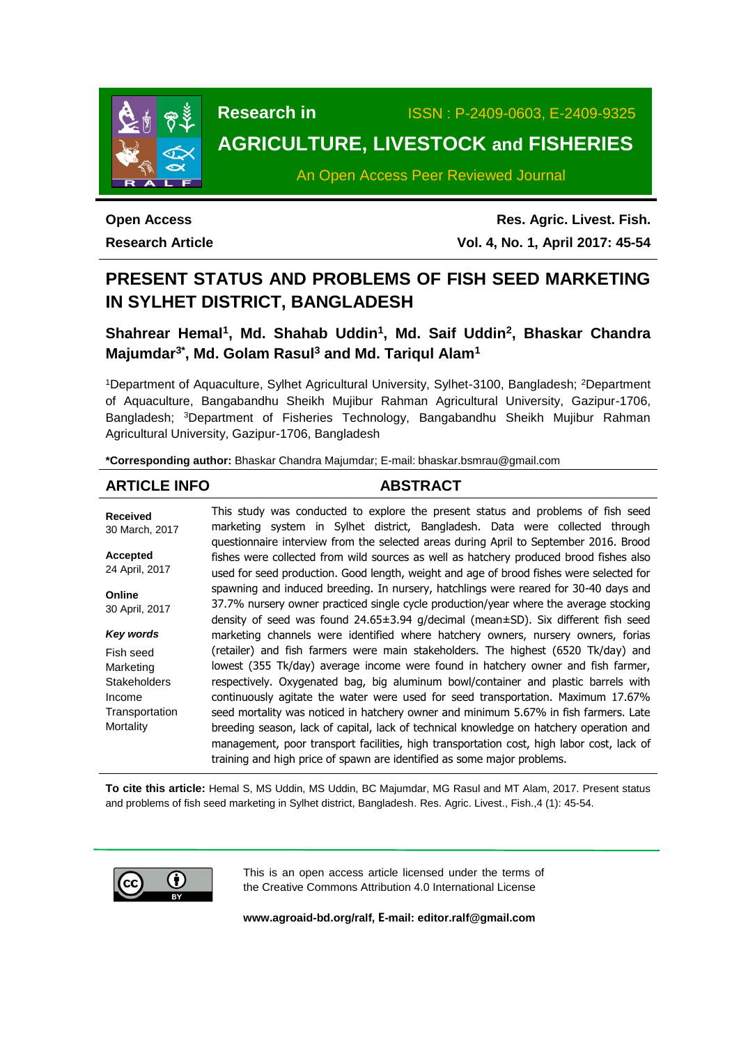

# **Research in** ISSN : P-2409-0603, E-2409-9325 **AGRICULTURE, LIVESTOCK and FISHERIES**

An Open Access Peer Reviewed Journal

**Open Access Research Article**

**Res. Agric. Livest. Fish. Vol. 4, No. 1, April 2017: 45-54**

# **PRESENT STATUS AND PROBLEMS OF FISH SEED MARKETING IN SYLHET DISTRICT, BANGLADESH**

**Shahrear Hemal<sup>1</sup> , Md. Shahab Uddin<sup>1</sup> , Md. Saif Uddin<sup>2</sup> , Bhaskar Chandra Majumdar3\* , Md. Golam Rasul<sup>3</sup> and Md. Tariqul Alam<sup>1</sup>**

<sup>1</sup>Department of Aquaculture, Sylhet Agricultural University, Sylhet-3100, Bangladesh; <sup>2</sup>Department of Aquaculture, Bangabandhu Sheikh Mujibur Rahman Agricultural University, Gazipur-1706, Bangladesh; <sup>3</sup>Department of Fisheries Technology, Bangabandhu Sheikh Mujibur Rahman Agricultural University, Gazipur-1706, Bangladesh

**\*Corresponding author:** Bhaskar Chandra Majumdar; E-mail: [bhaskar.bsmrau@gmail.com](mailto:bhaskar.bsmrau@gmail.com)

# **ARTICLE INFO ABSTRACT**

**Received** 30 March, 2017 **Accepted** 24 April, 2017 **Online** 30 April, 2017 *Key words* Fish seed **Marketing Stakeholders** Income **Transportation Mortality** This study was conducted to explore the present status and problems of fish seed marketing system in Sylhet district, Bangladesh. Data were collected through questionnaire interview from the selected areas during April to September 2016. Brood fishes were collected from wild sources as well as hatchery produced brood fishes also used for seed production. Good length, weight and age of brood fishes were selected for spawning and induced breeding. In nursery, hatchlings were reared for 30-40 days and 37.7% nursery owner practiced single cycle production/year where the average stocking density of seed was found 24.65±3.94 g/decimal (mean±SD). Six different fish seed marketing channels were identified where hatchery owners, nursery owners, forias (retailer) and fish farmers were main stakeholders. The highest (6520 Tk/day) and lowest (355 Tk/day) average income were found in hatchery owner and fish farmer, respectively. Oxygenated bag, big aluminum bowl/container and plastic barrels with continuously agitate the water were used for seed transportation. Maximum 17.67% seed mortality was noticed in hatchery owner and minimum 5.67% in fish farmers. Late breeding season, lack of capital, lack of technical knowledge on hatchery operation and management, poor transport facilities, high transportation cost, high labor cost, lack of training and high price of spawn are identified as some major problems.

**To cite this article:** Hemal S, MS Uddin, MS Uddin, BC Majumdar, MG Rasul and MT Alam, 2017. Present status and problems of fish seed marketing in Sylhet district, Bangladesh. Res. Agric. Livest., Fish.,4 (1): 45-54.



This is an open access article licensed under the terms of the Creative Commons Attribution 4.0 International License

**[www.agroaid-bd.org/ralf,](http://www.agroaid-bd.org/ralf) E-mail[: editor.ralf@gmail.com](mailto:editor.ralf@gmail.com)**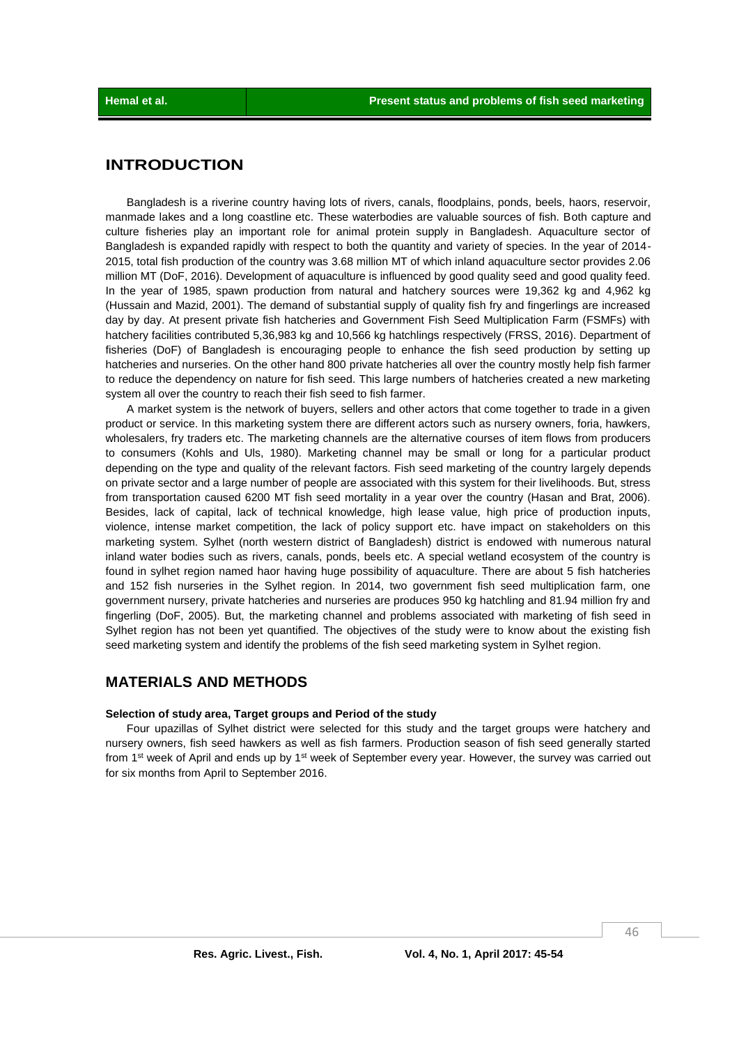# **INTRODUCTION**

Bangladesh is a riverine country having lots of rivers, canals, floodplains, ponds, beels, haors, reservoir, manmade lakes and a long coastline etc. These waterbodies are valuable sources of fish. Both capture and culture fisheries play an important role for animal protein supply in Bangladesh. Aquaculture sector of Bangladesh is expanded rapidly with respect to both the quantity and variety of species. In the year of 2014- 2015, total fish production of the country was 3.68 million MT of which inland aquaculture sector provides 2.06 million MT (DoF, 2016). Development of aquaculture is influenced by good quality seed and good quality feed. In the year of 1985, spawn production from natural and hatchery sources were 19,362 kg and 4,962 kg (Hussain and Mazid, 2001). The demand of substantial supply of quality fish fry and fingerlings are increased day by day. At present private fish hatcheries and Government Fish Seed Multiplication Farm (FSMFs) with hatchery facilities contributed 5,36,983 kg and 10,566 kg hatchlings respectively (FRSS, 2016). Department of fisheries (DoF) of Bangladesh is encouraging people to enhance the fish seed production by setting up hatcheries and nurseries. On the other hand 800 private hatcheries all over the country mostly help fish farmer to reduce the dependency on nature for fish seed. This large numbers of hatcheries created a new marketing system all over the country to reach their fish seed to fish farmer.

A market system is the network of buyers, sellers and other actors that come together to trade in a given product or service. In this marketing system there are different actors such as nursery owners, foria, hawkers, wholesalers, fry traders etc. The marketing channels are the alternative courses of item flows from producers to consumers (Kohls and Uls, 1980). Marketing channel may be small or long for a particular product depending on the type and quality of the relevant factors. Fish seed marketing of the country largely depends on private sector and a large number of people are associated with this system for their livelihoods. But, stress from transportation caused 6200 MT fish seed mortality in a year over the country (Hasan and Brat, 2006). Besides, lack of capital, lack of technical knowledge, high lease value, high price of production inputs, violence, intense market competition, the lack of policy support etc. have impact on stakeholders on this marketing system. Sylhet (north western district of Bangladesh) district is endowed with numerous natural inland water bodies such as rivers, canals, ponds, beels etc. A special wetland ecosystem of the country is found in sylhet region named haor having huge possibility of aquaculture. There are about 5 fish hatcheries and 152 fish nurseries in the Sylhet region. In 2014, two government fish seed multiplication farm, one government nursery, private hatcheries and nurseries are produces 950 kg hatchling and 81.94 million fry and fingerling (DoF, 2005). But, the marketing channel and problems associated with marketing of fish seed in Sylhet region has not been yet quantified. The objectives of the study were to know about the existing fish seed marketing system and identify the problems of the fish seed marketing system in Sylhet region.

## **MATERIALS AND METHODS**

#### **Selection of study area, Target groups and Period of the study**

Four upazillas of Sylhet district were selected for this study and the target groups were hatchery and nursery owners, fish seed hawkers as well as fish farmers. Production season of fish seed generally started from 1<sup>st</sup> week of April and ends up by 1<sup>st</sup> week of September every year. However, the survey was carried out for six months from April to September 2016.

46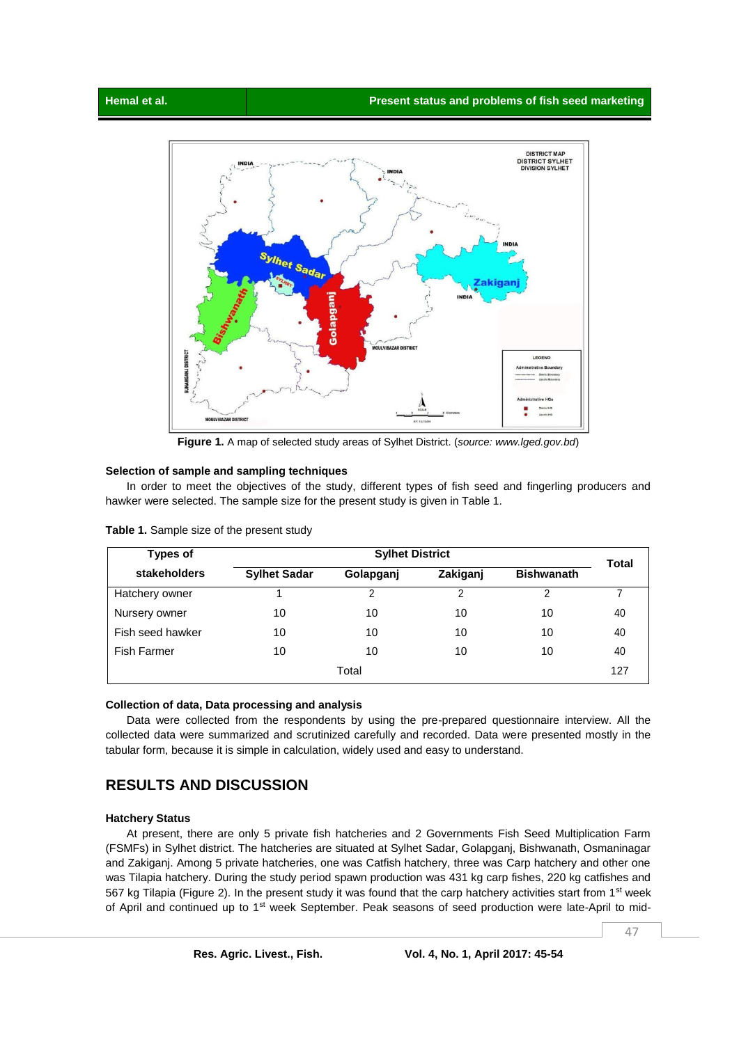

**Figure 1.** A map of selected study areas of Sylhet District. (*source: www.lged.gov.bd*)

#### **Selection of sample and sampling techniques**

In order to meet the objectives of the study, different types of fish seed and fingerling producers and hawker were selected. The sample size for the present study is given in Table 1.

| Types of           | <b>Sylhet District</b> |           |          |                   |       |
|--------------------|------------------------|-----------|----------|-------------------|-------|
| stakeholders       | <b>Sylhet Sadar</b>    | Golapganj | Zakiganj | <b>Bishwanath</b> | Total |
| Hatchery owner     |                        | າ         | າ        |                   |       |
| Nursery owner      | 10                     | 10        | 10       | 10                | 40    |
| Fish seed hawker   | 10                     | 10        | 10       | 10                | 40    |
| <b>Fish Farmer</b> | 10                     | 10        | 10       | 10                | 40    |
| Total              |                        |           |          |                   | 127   |

**Table 1.** Sample size of the present study

#### **Collection of data, Data processing and analysis**

Data were collected from the respondents by using the pre-prepared questionnaire interview. All the collected data were summarized and scrutinized carefully and recorded. Data were presented mostly in the tabular form, because it is simple in calculation, widely used and easy to understand.

# **RESULTS AND DISCUSSION**

#### **Hatchery Status**

At present, there are only 5 private fish hatcheries and 2 Governments Fish Seed Multiplication Farm (FSMFs) in Sylhet district. The hatcheries are situated at Sylhet Sadar, Golapganj, Bishwanath, Osmaninagar and Zakiganj. Among 5 private hatcheries, one was Catfish hatchery, three was Carp hatchery and other one was Tilapia hatchery. During the study period spawn production was 431 kg carp fishes, 220 kg catfishes and 567 kg Tilapia (Figure 2). In the present study it was found that the carp hatchery activities start from 1<sup>st</sup> week of April and continued up to 1<sup>st</sup> week September. Peak seasons of seed production were late-April to mid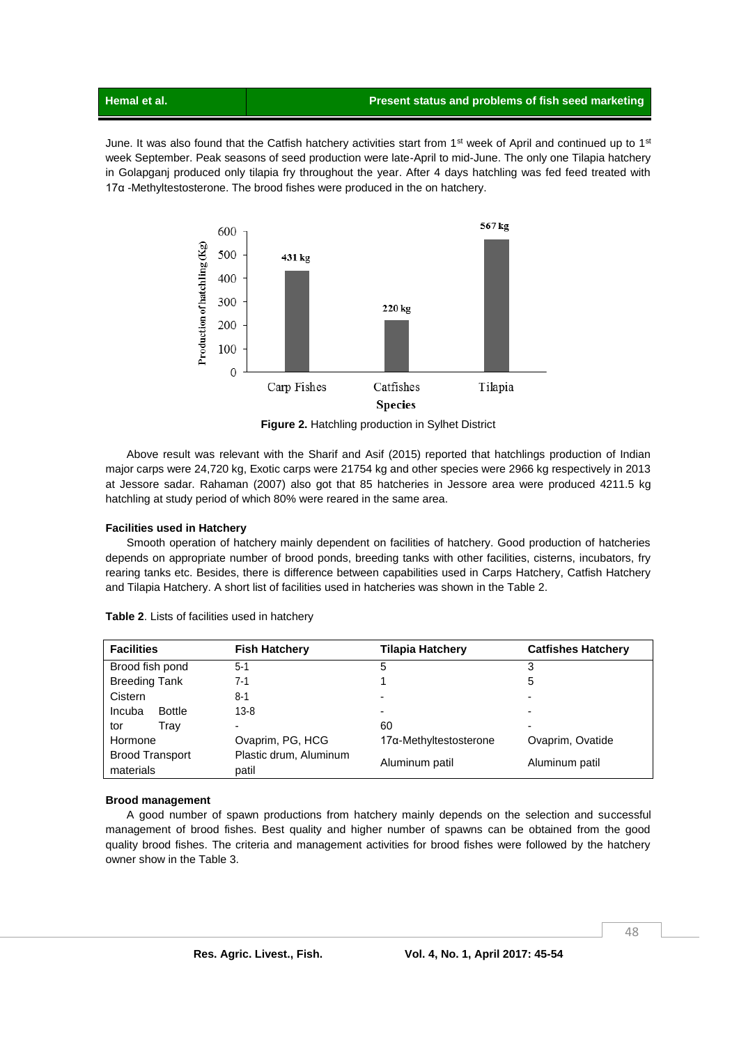June. It was also found that the Catfish hatchery activities start from  $1^{st}$  week of April and continued up to  $1^{st}$ week September. Peak seasons of seed production were late-April to mid-June. The only one Tilapia hatchery in Golapganj produced only tilapia fry throughout the year. After 4 days hatchling was fed feed treated with 17α -Methyltestosterone. The brood fishes were produced in the on hatchery.



**Figure 2.** Hatchling production in Sylhet District

Above result was relevant with the Sharif and Asif (2015) reported that hatchlings production of Indian major carps were 24,720 kg, Exotic carps were 21754 kg and other species were 2966 kg respectively in 2013 at Jessore sadar. Rahaman (2007) also got that 85 hatcheries in Jessore area were produced 4211.5 kg hatchling at study period of which 80% were reared in the same area.

#### **Facilities used in Hatchery**

Smooth operation of hatchery mainly dependent on facilities of hatchery. Good production of hatcheries depends on appropriate number of brood ponds, breeding tanks with other facilities, cisterns, incubators, fry rearing tanks etc. Besides, there is difference between capabilities used in Carps Hatchery, Catfish Hatchery and Tilapia Hatchery. A short list of facilities used in hatcheries was shown in the Table 2.

| <b>Facilities</b>                   | <b>Fish Hatchery</b>            | <b>Tilapia Hatchery</b> | <b>Catfishes Hatchery</b> |
|-------------------------------------|---------------------------------|-------------------------|---------------------------|
| Brood fish pond                     | $5 - 1$                         | 5                       | 3                         |
| <b>Breeding Tank</b>                | $7 - 1$                         |                         | 5                         |
| Cistern                             | 8-1                             | -                       | $\overline{\phantom{0}}$  |
| Incuba<br><b>Bottle</b>             | $13 - 8$                        | -                       | $\overline{\phantom{0}}$  |
| Trav<br>tor                         | -                               | 60                      |                           |
| Hormone                             | Ovaprim, PG, HCG                | 17α-Methyltestosterone  | Ovaprim, Ovatide          |
| <b>Brood Transport</b><br>materials | Plastic drum, Aluminum<br>patil | Aluminum patil          | Aluminum patil            |

**Table 2**. Lists of facilities used in hatchery

#### **Brood management**

A good number of spawn productions from hatchery mainly depends on the selection and successful management of brood fishes. Best quality and higher number of spawns can be obtained from the good quality brood fishes. The criteria and management activities for brood fishes were followed by the hatchery owner show in the Table 3.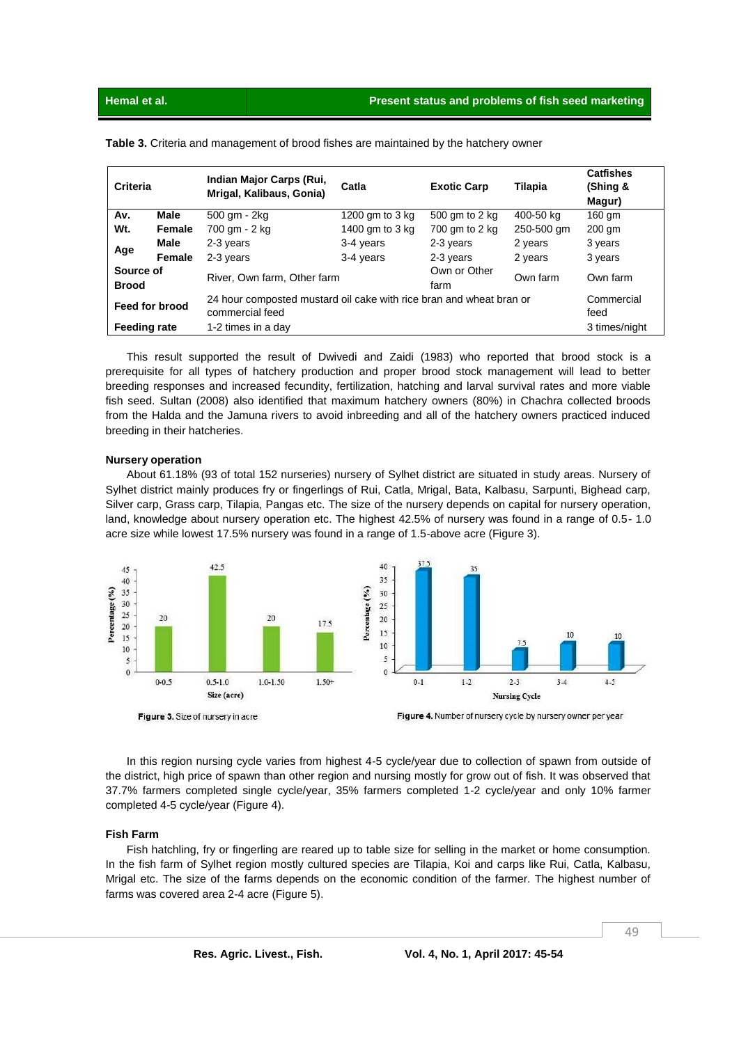| Criteria                                                                                                 |                                          | Indian Major Carps (Rui,<br>Mrigal, Kalibaus, Gonia) | Catla                | <b>Exotic Carp</b> | Tilapia            | <b>Catfishes</b><br>(Shing &<br>Magur) |
|----------------------------------------------------------------------------------------------------------|------------------------------------------|------------------------------------------------------|----------------------|--------------------|--------------------|----------------------------------------|
| Av.                                                                                                      | Male                                     | 500 gm - 2kg                                         | 1200 gm to 3 kg      | 500 gm to 2 kg     | 400-50 kg          | 160 gm                                 |
| Wt.                                                                                                      | Female                                   | 700 gm - 2 kg                                        | 1400 gm to 3 kg      | 700 gm to 2 kg     | 250-500 gm         | 200 gm                                 |
| Age                                                                                                      | Male                                     | 2-3 years                                            | 3-4 years            | 2-3 years          | 2 years            | 3 years                                |
|                                                                                                          | Female                                   | 2-3 years                                            | 3-4 years            | 2-3 years          | 2 years            | 3 years                                |
| <b>Brood</b>                                                                                             | Source of<br>River, Own farm, Other farm |                                                      | Own or Other<br>farm | Own farm           | Own farm           |                                        |
| 24 hour composted mustard oil cake with rice bran and wheat bran or<br>Feed for brood<br>commercial feed |                                          |                                                      |                      |                    | Commercial<br>feed |                                        |
| <b>Feeding rate</b><br>1-2 times in a day                                                                |                                          |                                                      | 3 times/night        |                    |                    |                                        |

**Table 3.** Criteria and management of brood fishes are maintained by the hatchery owner

This result supported the result of Dwivedi and Zaidi (1983) who reported that brood stock is a prerequisite for all types of hatchery production and proper brood stock management will lead to better breeding responses and increased fecundity, fertilization, hatching and larval survival rates and more viable fish seed. Sultan (2008) also identified that maximum hatchery owners (80%) in Chachra collected broods from the Halda and the Jamuna rivers to avoid inbreeding and all of the hatchery owners practiced induced breeding in their hatcheries.

#### **Nursery operation**

About 61.18% (93 of total 152 nurseries) nursery of Sylhet district are situated in study areas. Nursery of Sylhet district mainly produces fry or fingerlings of Rui, Catla, Mrigal, Bata, Kalbasu, Sarpunti, Bighead carp, Silver carp, Grass carp, Tilapia, Pangas etc. The size of the nursery depends on capital for nursery operation, land, knowledge about nursery operation etc. The highest 42.5% of nursery was found in a range of 0.5- 1.0 acre size while lowest 17.5% nursery was found in a range of 1.5-above acre (Figure 3).



Figure 3. Size of nursery in acre



In this region nursing cycle varies from highest 4-5 cycle/year due to collection of spawn from outside of the district, high price of spawn than other region and nursing mostly for grow out of fish. It was observed that 37.7% farmers completed single cycle/year, 35% farmers completed 1-2 cycle/year and only 10% farmer completed 4-5 cycle/year (Figure 4).

#### **Fish Farm**

Fish hatchling, fry or fingerling are reared up to table size for selling in the market or home consumption. In the fish farm of Sylhet region mostly cultured species are Tilapia, Koi and carps like Rui, Catla, Kalbasu, Mrigal etc. The size of the farms depends on the economic condition of the farmer. The highest number of farms was covered area 2-4 acre (Figure 5).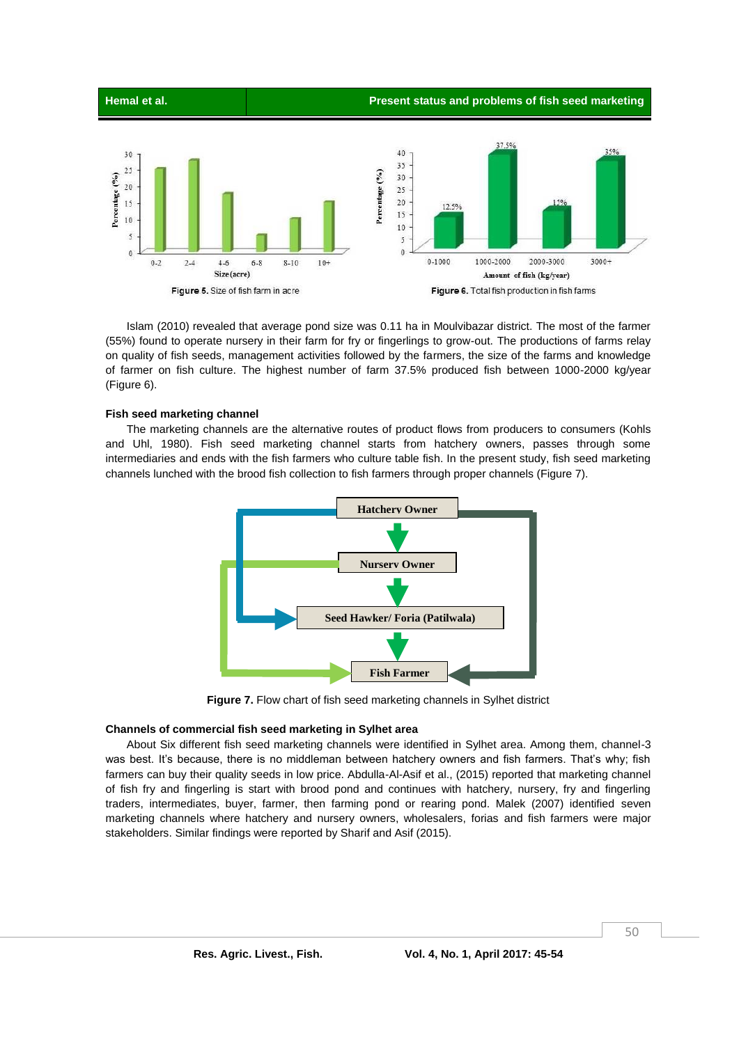

Islam (2010) revealed that average pond size was 0.11 ha in Moulvibazar district. The most of the farmer (55%) found to operate nursery in their farm for fry or fingerlings to grow-out. The productions of farms relay on quality of fish seeds, management activities followed by the farmers, the size of the farms and knowledge of farmer on fish culture. The highest number of farm 37.5% produced fish between 1000-2000 kg/year (Figure 6).

#### **Fish seed marketing channel**

The marketing channels are the alternative routes of product flows from producers to consumers (Kohls and Uhl, 1980). Fish seed marketing channel starts from hatchery owners, passes through some intermediaries and ends with the fish farmers who culture table fish. In the present study, fish seed marketing channels lunched with the brood fish collection to fish farmers through proper channels (Figure 7).



**Figure 7.** Flow chart of fish seed marketing channels in Sylhet district

### **Channels of commercial fish seed marketing in Sylhet area**

About Six different fish seed marketing channels were identified in Sylhet area. Among them, channel-3 was best. It's because, there is no middleman between hatchery owners and fish farmers. That's why; fish farmers can buy their quality seeds in low price. Abdulla-Al-Asif et al., (2015) reported that marketing channel of fish fry and fingerling is start with brood pond and continues with hatchery, nursery, fry and fingerling traders, intermediates, buyer, farmer, then farming pond or rearing pond. Malek (2007) identified seven marketing channels where hatchery and nursery owners, wholesalers, forias and fish farmers were major stakeholders. Similar findings were reported by Sharif and Asif (2015).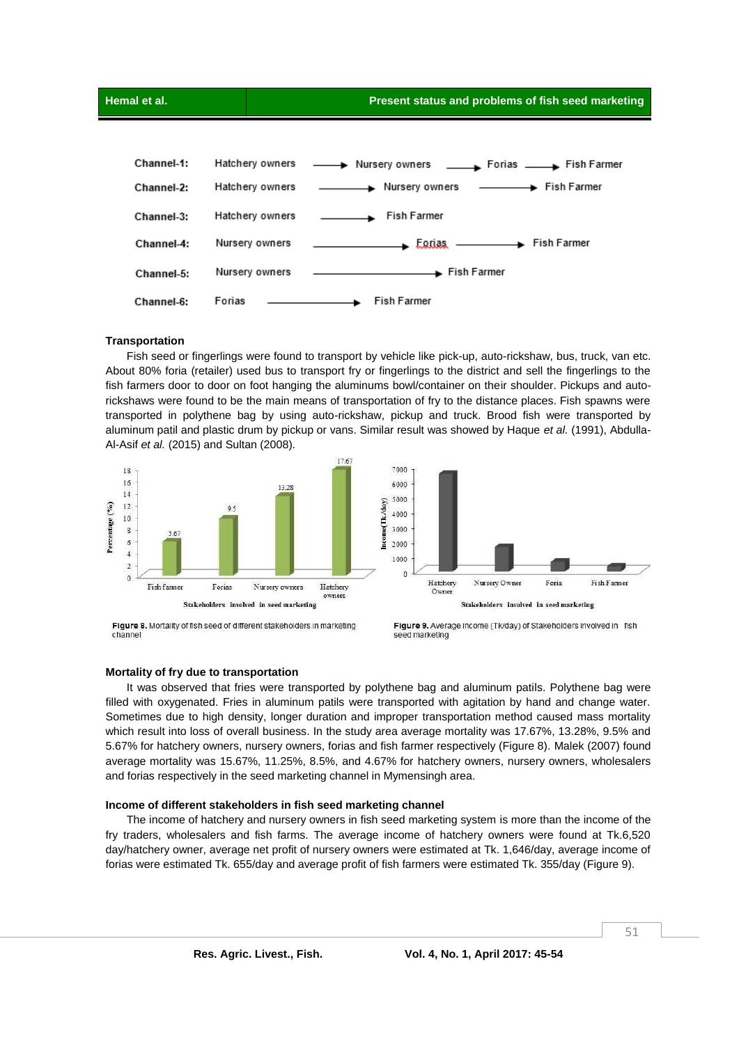

#### **Transportation**

Fish seed or fingerlings were found to transport by vehicle like pick-up, auto-rickshaw, bus, truck, van etc. About 80% foria (retailer) used bus to transport fry or fingerlings to the district and sell the fingerlings to the fish farmers door to door on foot hanging the aluminums bowl/container on their shoulder. Pickups and autorickshaws were found to be the main means of transportation of fry to the distance places. Fish spawns were transported in polythene bag by using auto-rickshaw, pickup and truck. Brood fish were transported by aluminum patil and plastic drum by pickup or vans. Similar result was showed by Haque *et al.* (1991), Abdulla-Al-Asif *et al.* (2015) and Sultan (2008).





Figure 8. Mortality of fish seed of different stakeholders in marketing channel



#### **Mortality of fry due to transportation**

It was observed that fries were transported by polythene bag and aluminum patils. Polythene bag were filled with oxygenated. Fries in aluminum patils were transported with agitation by hand and change water. Sometimes due to high density, longer duration and improper transportation method caused mass mortality which result into loss of overall business. In the study area average mortality was 17.67%, 13.28%, 9.5% and 5.67% for hatchery owners, nursery owners, forias and fish farmer respectively (Figure 8). Malek (2007) found average mortality was 15.67%, 11.25%, 8.5%, and 4.67% for hatchery owners, nursery owners, wholesalers and forias respectively in the seed marketing channel in Mymensingh area.

#### **Income of different stakeholders in fish seed marketing channel**

The income of hatchery and nursery owners in fish seed marketing system is more than the income of the fry traders, wholesalers and fish farms. The average income of hatchery owners were found at Tk.6,520 day/hatchery owner, average net profit of nursery owners were estimated at Tk. 1,646/day, average income of forias were estimated Tk. 655/day and average profit of fish farmers were estimated Tk. 355/day (Figure 9).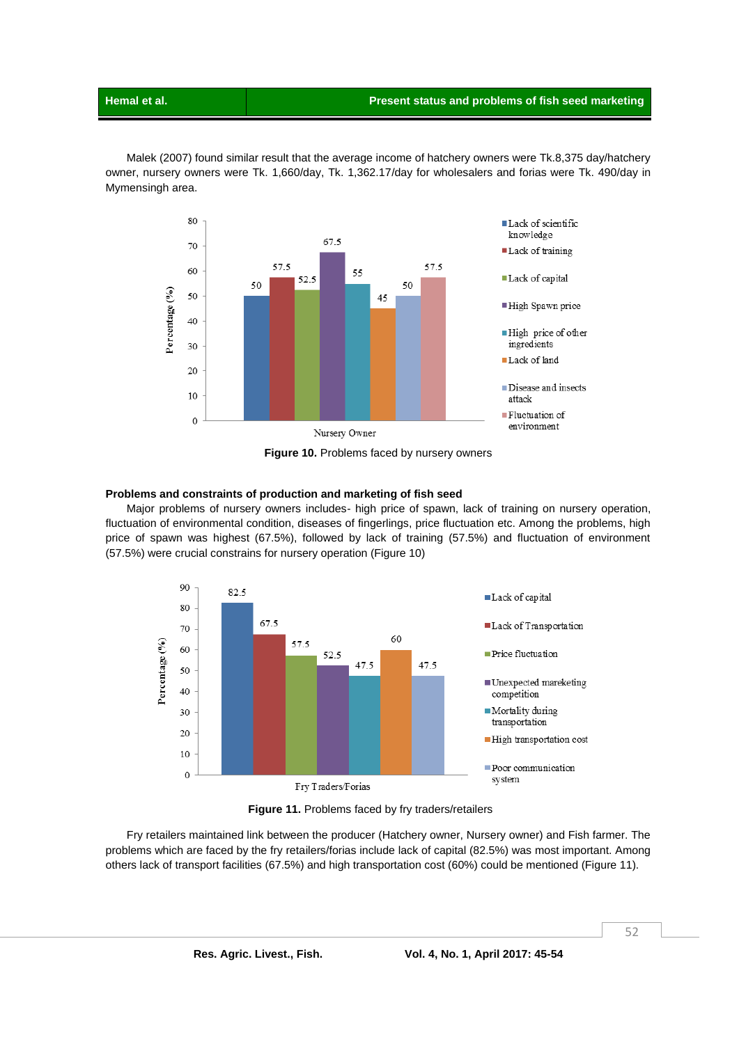Malek (2007) found similar result that the average income of hatchery owners were Tk.8,375 day/hatchery owner, nursery owners were Tk. 1,660/day, Tk. 1,362.17/day for wholesalers and forias were Tk. 490/day in Mymensingh area.



**Figure 10.** Problems faced by nursery owners

#### **Problems and constraints of production and marketing of fish seed**

Major problems of nursery owners includes- high price of spawn, lack of training on nursery operation, fluctuation of environmental condition, diseases of fingerlings, price fluctuation etc. Among the problems, high price of spawn was highest (67.5%), followed by lack of training (57.5%) and fluctuation of environment (57.5%) were crucial constrains for nursery operation (Figure 10)



**Figure 11.** Problems faced by fry traders/retailers

Fry retailers maintained link between the producer (Hatchery owner, Nursery owner) and Fish farmer. The problems which are faced by the fry retailers/forias include lack of capital (82.5%) was most important. Among others lack of transport facilities (67.5%) and high transportation cost (60%) could be mentioned (Figure 11).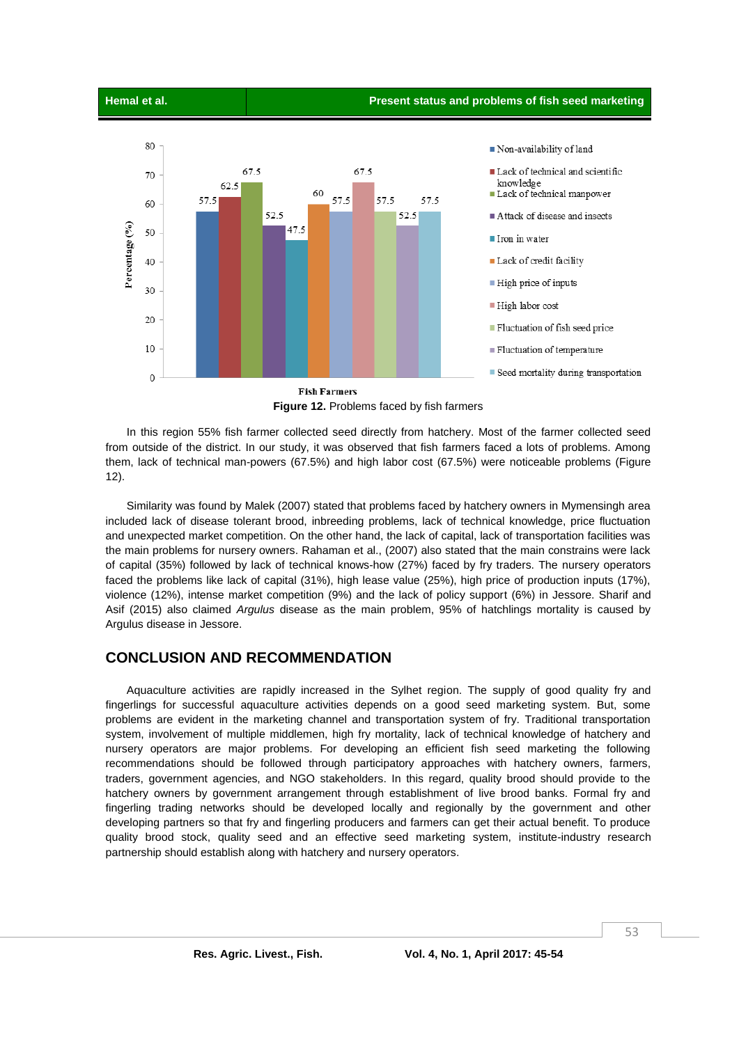#### **Hemal et al. Present status and problems of fish seed marketing**



**Figure 12.** Problems faced by fish farmers

In this region 55% fish farmer collected seed directly from hatchery. Most of the farmer collected seed from outside of the district. In our study, it was observed that fish farmers faced a lots of problems. Among them, lack of technical man-powers (67.5%) and high labor cost (67.5%) were noticeable problems (Figure 12).

Similarity was found by Malek (2007) stated that problems faced by hatchery owners in Mymensingh area included lack of disease tolerant brood, inbreeding problems, lack of technical knowledge, price fluctuation and unexpected market competition. On the other hand, the lack of capital, lack of transportation facilities was the main problems for nursery owners. Rahaman et al., (2007) also stated that the main constrains were lack of capital (35%) followed by lack of technical knows-how (27%) faced by fry traders. The nursery operators faced the problems like lack of capital (31%), high lease value (25%), high price of production inputs (17%), violence (12%), intense market competition (9%) and the lack of policy support (6%) in Jessore. Sharif and Asif (2015) also claimed *Argulus* disease as the main problem, 95% of hatchlings mortality is caused by Argulus disease in Jessore.

# **CONCLUSION AND RECOMMENDATION**

Aquaculture activities are rapidly increased in the Sylhet region. The supply of good quality fry and fingerlings for successful aquaculture activities depends on a good seed marketing system. But, some problems are evident in the marketing channel and transportation system of fry. Traditional transportation system, involvement of multiple middlemen, high fry mortality, lack of technical knowledge of hatchery and nursery operators are major problems. For developing an efficient fish seed marketing the following recommendations should be followed through participatory approaches with hatchery owners, farmers, traders, government agencies, and NGO stakeholders. In this regard, quality brood should provide to the hatchery owners by government arrangement through establishment of live brood banks. Formal fry and fingerling trading networks should be developed locally and regionally by the government and other developing partners so that fry and fingerling producers and farmers can get their actual benefit. To produce quality brood stock, quality seed and an effective seed marketing system, institute-industry research partnership should establish along with hatchery and nursery operators.

53